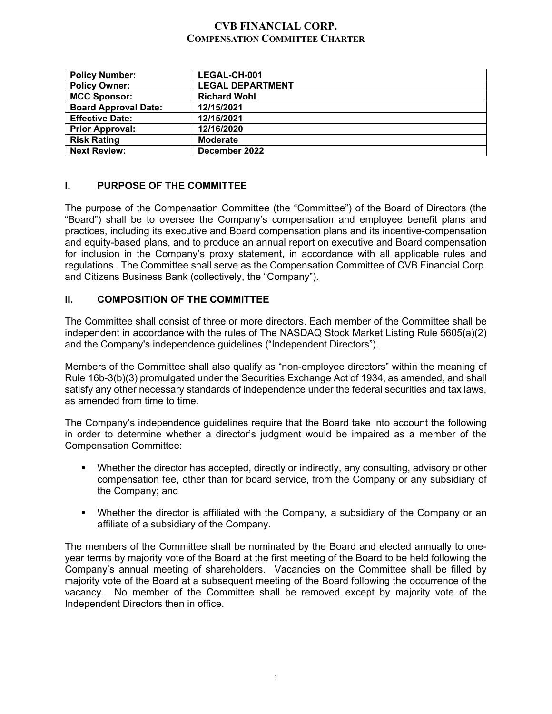# **CVB FINANCIAL CORP. COMPENSATION COMMITTEE CHARTER**

| <b>Policy Number:</b>       | LEGAL-CH-001            |
|-----------------------------|-------------------------|
| <b>Policy Owner:</b>        | <b>LEGAL DEPARTMENT</b> |
| <b>MCC Sponsor:</b>         | <b>Richard Wohl</b>     |
| <b>Board Approval Date:</b> | 12/15/2021              |
| <b>Effective Date:</b>      | 12/15/2021              |
| <b>Prior Approval:</b>      | 12/16/2020              |
| <b>Risk Rating</b>          | <b>Moderate</b>         |
| <b>Next Review:</b>         | December 2022           |

# **I. PURPOSE OF THE COMMITTEE**

The purpose of the Compensation Committee (the "Committee") of the Board of Directors (the "Board") shall be to oversee the Company's compensation and employee benefit plans and practices, including its executive and Board compensation plans and its incentive-compensation and equity-based plans, and to produce an annual report on executive and Board compensation for inclusion in the Company's proxy statement, in accordance with all applicable rules and regulations. The Committee shall serve as the Compensation Committee of CVB Financial Corp. and Citizens Business Bank (collectively, the "Company").

# **II. COMPOSITION OF THE COMMITTEE**

The Committee shall consist of three or more directors. Each member of the Committee shall be independent in accordance with the rules of The NASDAQ Stock Market Listing Rule 5605(a)(2) and the Company's independence guidelines ("Independent Directors").

Members of the Committee shall also qualify as "non-employee directors" within the meaning of Rule 16b-3(b)(3) promulgated under the Securities Exchange Act of 1934, as amended, and shall satisfy any other necessary standards of independence under the federal securities and tax laws, as amended from time to time.

The Company's independence guidelines require that the Board take into account the following in order to determine whether a director's judgment would be impaired as a member of the Compensation Committee:

- Whether the director has accepted, directly or indirectly, any consulting, advisory or other compensation fee, other than for board service, from the Company or any subsidiary of the Company; and
- Whether the director is affiliated with the Company, a subsidiary of the Company or an affiliate of a subsidiary of the Company.

The members of the Committee shall be nominated by the Board and elected annually to oneyear terms by majority vote of the Board at the first meeting of the Board to be held following the Company's annual meeting of shareholders. Vacancies on the Committee shall be filled by majority vote of the Board at a subsequent meeting of the Board following the occurrence of the vacancy. No member of the Committee shall be removed except by majority vote of the Independent Directors then in office.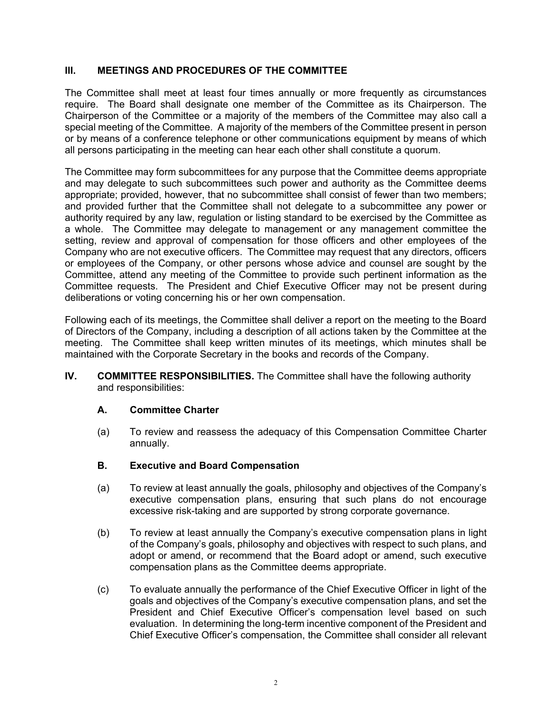# **III. MEETINGS AND PROCEDURES OF THE COMMITTEE**

The Committee shall meet at least four times annually or more frequently as circumstances require. The Board shall designate one member of the Committee as its Chairperson. The Chairperson of the Committee or a majority of the members of the Committee may also call a special meeting of the Committee. A majority of the members of the Committee present in person or by means of a conference telephone or other communications equipment by means of which all persons participating in the meeting can hear each other shall constitute a quorum.

The Committee may form subcommittees for any purpose that the Committee deems appropriate and may delegate to such subcommittees such power and authority as the Committee deems appropriate; provided, however, that no subcommittee shall consist of fewer than two members; and provided further that the Committee shall not delegate to a subcommittee any power or authority required by any law, regulation or listing standard to be exercised by the Committee as a whole. The Committee may delegate to management or any management committee the setting, review and approval of compensation for those officers and other employees of the Company who are not executive officers. The Committee may request that any directors, officers or employees of the Company, or other persons whose advice and counsel are sought by the Committee, attend any meeting of the Committee to provide such pertinent information as the Committee requests. The President and Chief Executive Officer may not be present during deliberations or voting concerning his or her own compensation.

Following each of its meetings, the Committee shall deliver a report on the meeting to the Board of Directors of the Company, including a description of all actions taken by the Committee at the meeting. The Committee shall keep written minutes of its meetings, which minutes shall be maintained with the Corporate Secretary in the books and records of the Company.

**IV. COMMITTEE RESPONSIBILITIES.** The Committee shall have the following authority and responsibilities:

### **A. Committee Charter**

(a) To review and reassess the adequacy of this Compensation Committee Charter annually.

### **B. Executive and Board Compensation**

- (a) To review at least annually the goals, philosophy and objectives of the Company's executive compensation plans, ensuring that such plans do not encourage excessive risk-taking and are supported by strong corporate governance.
- (b) To review at least annually the Company's executive compensation plans in light of the Company's goals, philosophy and objectives with respect to such plans, and adopt or amend, or recommend that the Board adopt or amend, such executive compensation plans as the Committee deems appropriate.
- (c) To evaluate annually the performance of the Chief Executive Officer in light of the goals and objectives of the Company's executive compensation plans, and set the President and Chief Executive Officer's compensation level based on such evaluation. In determining the long-term incentive component of the President and Chief Executive Officer's compensation, the Committee shall consider all relevant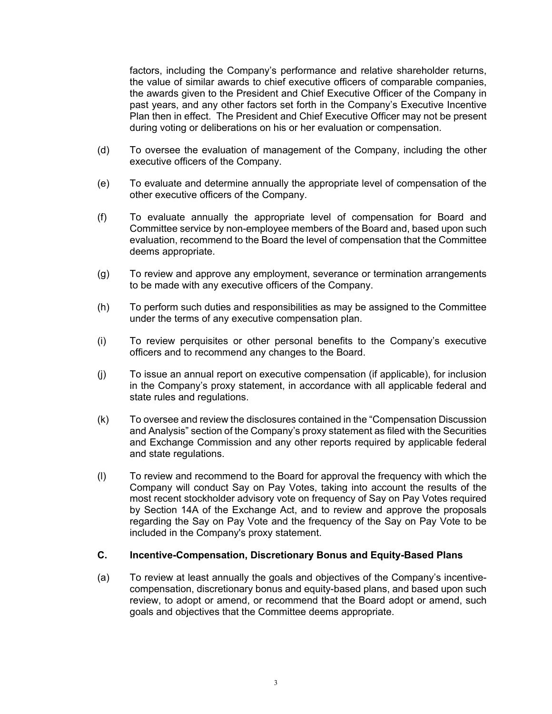factors, including the Company's performance and relative shareholder returns, the value of similar awards to chief executive officers of comparable companies, the awards given to the President and Chief Executive Officer of the Company in past years, and any other factors set forth in the Company's Executive Incentive Plan then in effect. The President and Chief Executive Officer may not be present during voting or deliberations on his or her evaluation or compensation.

- (d) To oversee the evaluation of management of the Company, including the other executive officers of the Company.
- (e) To evaluate and determine annually the appropriate level of compensation of the other executive officers of the Company.
- (f) To evaluate annually the appropriate level of compensation for Board and Committee service by non-employee members of the Board and, based upon such evaluation, recommend to the Board the level of compensation that the Committee deems appropriate.
- (g) To review and approve any employment, severance or termination arrangements to be made with any executive officers of the Company.
- (h) To perform such duties and responsibilities as may be assigned to the Committee under the terms of any executive compensation plan.
- (i) To review perquisites or other personal benefits to the Company's executive officers and to recommend any changes to the Board.
- (j) To issue an annual report on executive compensation (if applicable), for inclusion in the Company's proxy statement, in accordance with all applicable federal and state rules and regulations.
- (k) To oversee and review the disclosures contained in the "Compensation Discussion and Analysis" section of the Company's proxy statement as filed with the Securities and Exchange Commission and any other reports required by applicable federal and state regulations.
- (l) To review and recommend to the Board for approval the frequency with which the Company will conduct Say on Pay Votes, taking into account the results of the most recent stockholder advisory vote on frequency of Say on Pay Votes required by Section 14A of the Exchange Act, and to review and approve the proposals regarding the Say on Pay Vote and the frequency of the Say on Pay Vote to be included in the Company's proxy statement.

#### **C. Incentive-Compensation, Discretionary Bonus and Equity-Based Plans**

(a) To review at least annually the goals and objectives of the Company's incentivecompensation, discretionary bonus and equity-based plans, and based upon such review, to adopt or amend, or recommend that the Board adopt or amend, such goals and objectives that the Committee deems appropriate.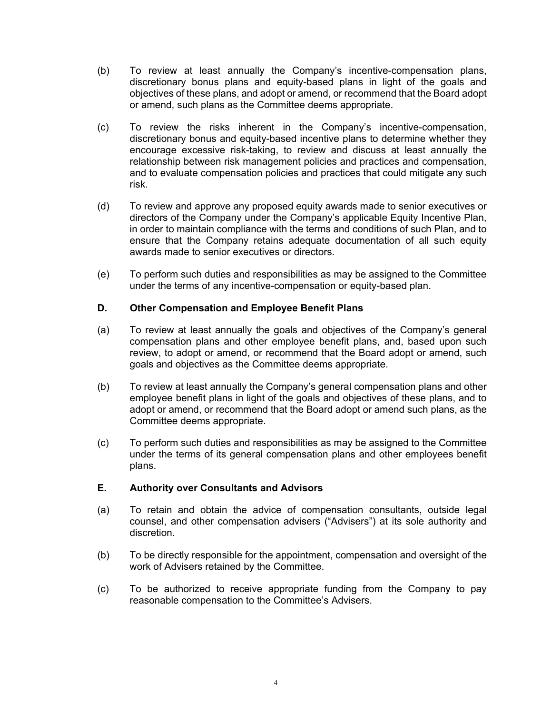- (b) To review at least annually the Company's incentive-compensation plans, discretionary bonus plans and equity-based plans in light of the goals and objectives of these plans, and adopt or amend, or recommend that the Board adopt or amend, such plans as the Committee deems appropriate.
- (c) To review the risks inherent in the Company's incentive-compensation, discretionary bonus and equity-based incentive plans to determine whether they encourage excessive risk-taking, to review and discuss at least annually the relationship between risk management policies and practices and compensation, and to evaluate compensation policies and practices that could mitigate any such risk.
- (d) To review and approve any proposed equity awards made to senior executives or directors of the Company under the Company's applicable Equity Incentive Plan, in order to maintain compliance with the terms and conditions of such Plan, and to ensure that the Company retains adequate documentation of all such equity awards made to senior executives or directors.
- (e) To perform such duties and responsibilities as may be assigned to the Committee under the terms of any incentive-compensation or equity-based plan.

# **D. Other Compensation and Employee Benefit Plans**

- (a) To review at least annually the goals and objectives of the Company's general compensation plans and other employee benefit plans, and, based upon such review, to adopt or amend, or recommend that the Board adopt or amend, such goals and objectives as the Committee deems appropriate.
- (b) To review at least annually the Company's general compensation plans and other employee benefit plans in light of the goals and objectives of these plans, and to adopt or amend, or recommend that the Board adopt or amend such plans, as the Committee deems appropriate.
- (c) To perform such duties and responsibilities as may be assigned to the Committee under the terms of its general compensation plans and other employees benefit plans.

### **E. Authority over Consultants and Advisors**

- (a) To retain and obtain the advice of compensation consultants, outside legal counsel, and other compensation advisers ("Advisers") at its sole authority and discretion.
- (b) To be directly responsible for the appointment, compensation and oversight of the work of Advisers retained by the Committee.
- (c) To be authorized to receive appropriate funding from the Company to pay reasonable compensation to the Committee's Advisers.